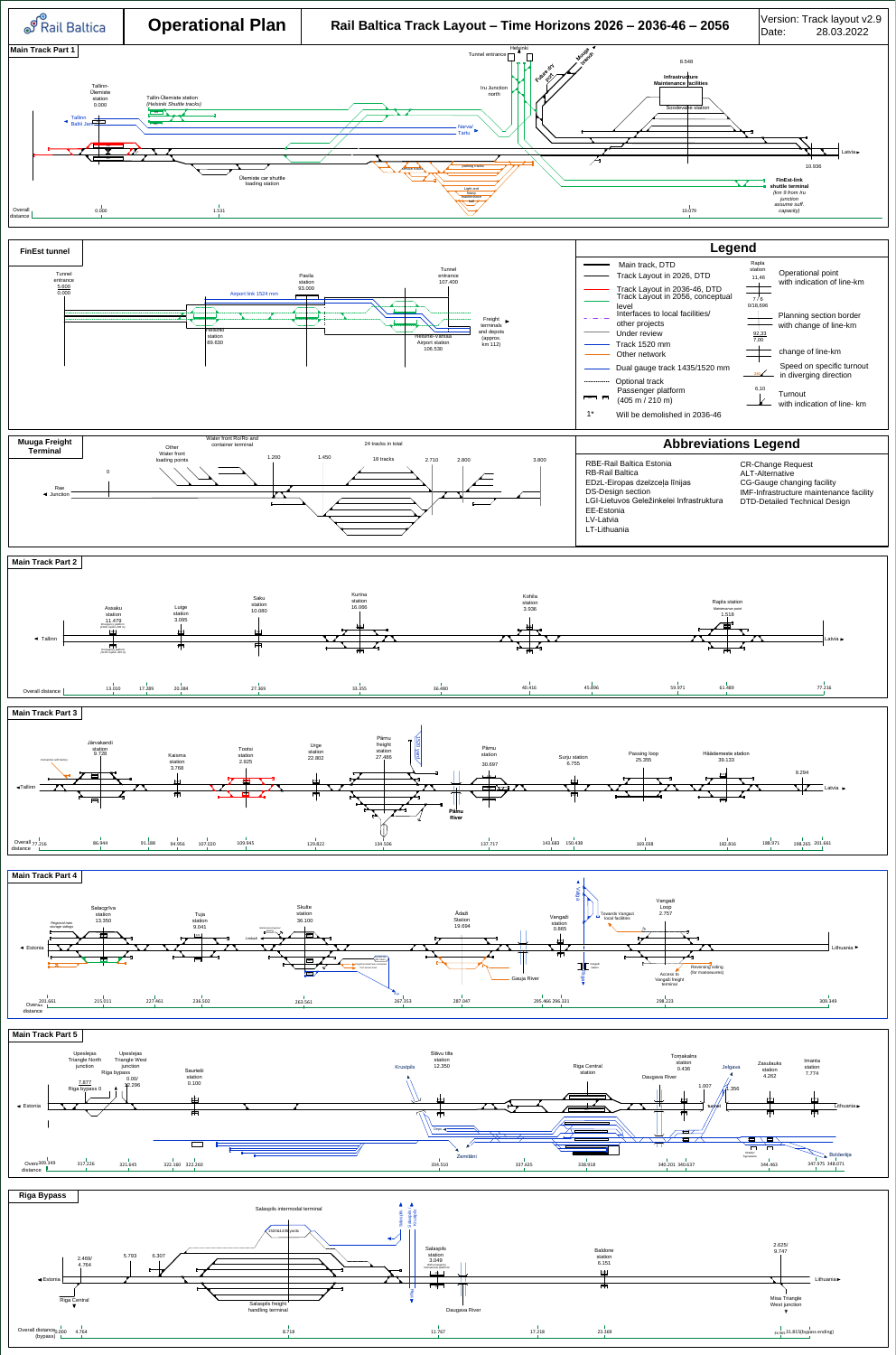**Muuga Freight** 

**Terminal**

**Other** Water front





24 tracks in total

Water front Ro/Ro and container terminal

**Turnout** with indication of line- km











**Abbreviations Legend**



1\* Will be demolished in 2036-46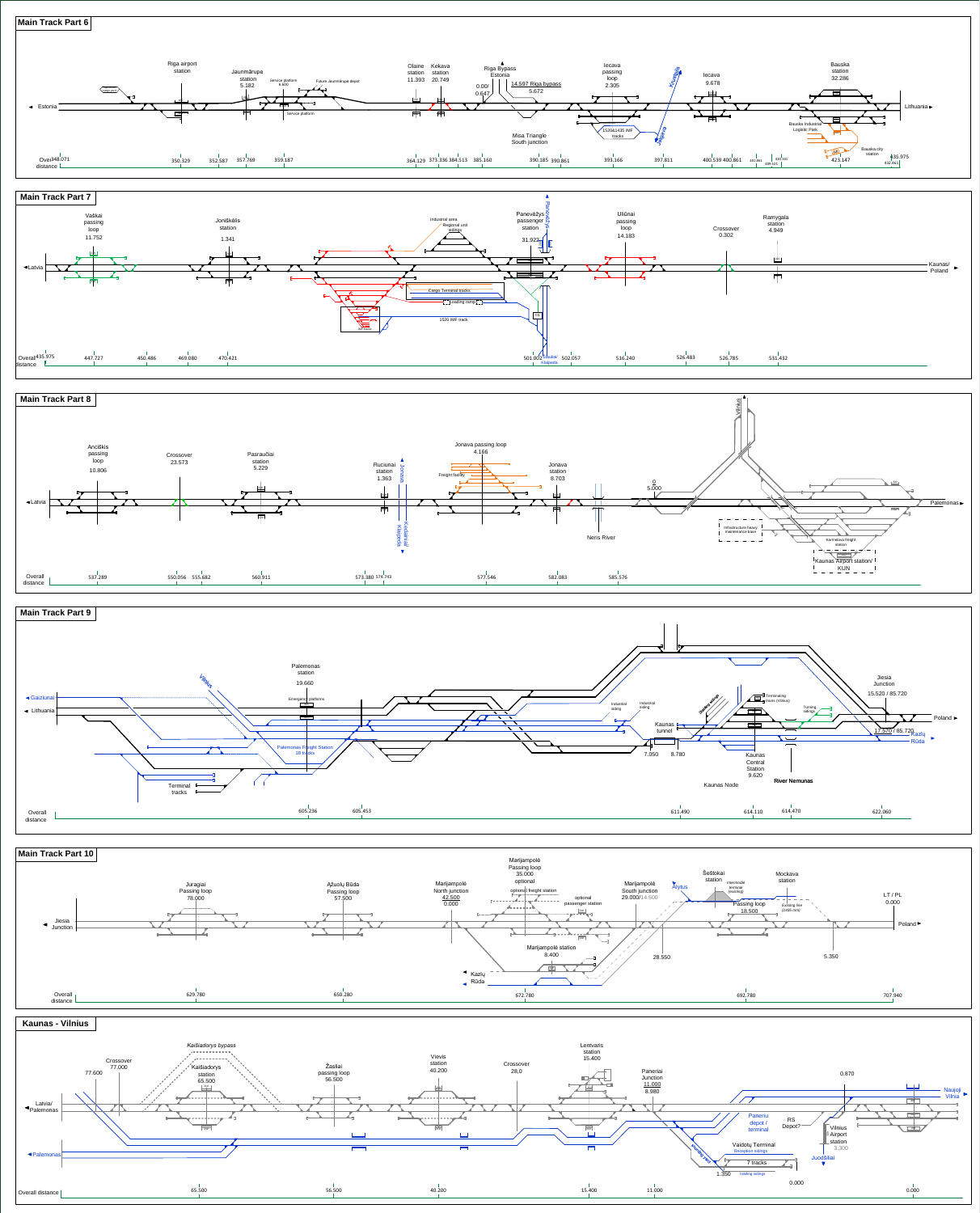





**Kaunas - Vilnius**





**Main Track Part 8**